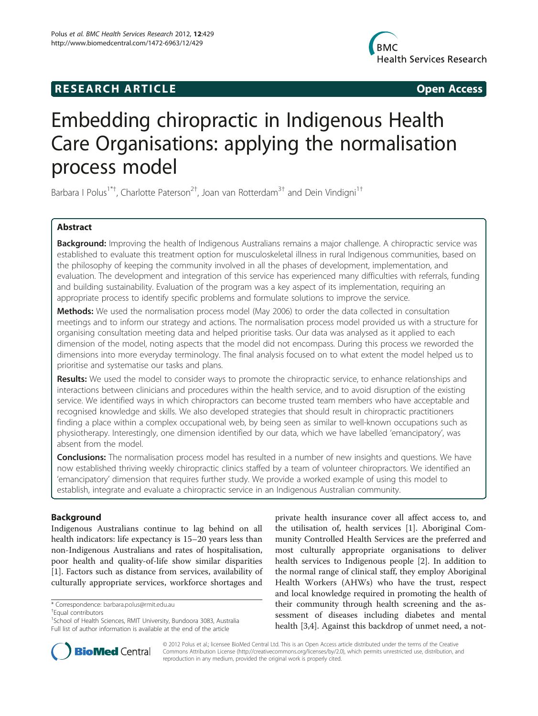## **RESEARCH ARTICLE Example 2014 CONSIDERING CONSIDERING CONSIDERING CONSIDERING CONSIDERING CONSIDERING CONSIDERING CONSIDERING CONSIDERING CONSIDERING CONSIDERING CONSIDERING CONSIDERING CONSIDERING CONSIDERING CONSIDE**



# Embedding chiropractic in Indigenous Health Care Organisations: applying the normalisation process model

Barbara I Polus<sup>1\*†</sup>, Charlotte Paterson<sup>2†</sup>, Joan van Rotterdam<sup>3†</sup> and Dein Vindigni<sup>1†</sup>

## Abstract

Background: Improving the health of Indigenous Australians remains a major challenge. A chiropractic service was established to evaluate this treatment option for musculoskeletal illness in rural Indigenous communities, based on the philosophy of keeping the community involved in all the phases of development, implementation, and evaluation. The development and integration of this service has experienced many difficulties with referrals, funding and building sustainability. Evaluation of the program was a key aspect of its implementation, requiring an appropriate process to identify specific problems and formulate solutions to improve the service.

Methods: We used the normalisation process model (May 2006) to order the data collected in consultation meetings and to inform our strategy and actions. The normalisation process model provided us with a structure for organising consultation meeting data and helped prioritise tasks. Our data was analysed as it applied to each dimension of the model, noting aspects that the model did not encompass. During this process we reworded the dimensions into more everyday terminology. The final analysis focused on to what extent the model helped us to prioritise and systematise our tasks and plans.

Results: We used the model to consider ways to promote the chiropractic service, to enhance relationships and interactions between clinicians and procedures within the health service, and to avoid disruption of the existing service. We identified ways in which chiropractors can become trusted team members who have acceptable and recognised knowledge and skills. We also developed strategies that should result in chiropractic practitioners finding a place within a complex occupational web, by being seen as similar to well-known occupations such as physiotherapy. Interestingly, one dimension identified by our data, which we have labelled 'emancipatory', was absent from the model.

**Conclusions:** The normalisation process model has resulted in a number of new insights and questions. We have now established thriving weekly chiropractic clinics staffed by a team of volunteer chiropractors. We identified an 'emancipatory' dimension that requires further study. We provide a worked example of using this model to establish, integrate and evaluate a chiropractic service in an Indigenous Australian community.

## Background

Indigenous Australians continue to lag behind on all health indicators: life expectancy is  $15-20$  years less than non-Indigenous Australians and rates of hospitalisation, poor health and quality-of-life show similar disparities [[1\]](#page-7-0). Factors such as distance from services, availability of culturally appropriate services, workforce shortages and

Equal contributors

<sup>1</sup> School of Health Sciences, RMIT University, Bundoora 3083, Australia Full list of author information is available at the end of the article





© 2012 Polus et al.; licensee BioMed Central Ltd. This is an Open Access article distributed under the terms of the Creative Commons Attribution License [\(http://creativecommons.org/licenses/by/2.0\)](http://creativecommons.org/licenses/by/2.0), which permits unrestricted use, distribution, and reproduction in any medium, provided the original work is properly cited.

<sup>\*</sup> Correspondence: [barbara.polus@rmit.edu.au](mailto:barbara.polus@rmit.edu.au) †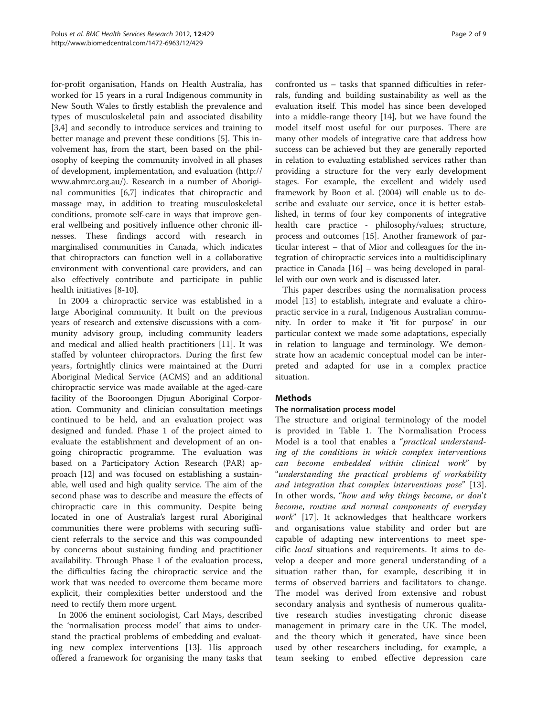for-profit organisation, Hands on Health Australia, has worked for 15 years in a rural Indigenous community in New South Wales to firstly establish the prevalence and types of musculoskeletal pain and associated disability [[3,4\]](#page-7-0) and secondly to introduce services and training to better manage and prevent these conditions [\[5](#page-7-0)]. This involvement has, from the start, been based on the philosophy of keeping the community involved in all phases of development, implementation, and evaluation [\(http://](http://www.rrh.org.au/articles/showarticlenew.asp?ArticleID=321) [www.ahmrc.org.au/](http://www.rrh.org.au/articles/showarticlenew.asp?ArticleID=321)). Research in a number of Aboriginal communities [[6,7\]](#page-7-0) indicates that chiropractic and massage may, in addition to treating musculoskeletal conditions, promote self-care in ways that improve general wellbeing and positively influence other chronic illnesses. These findings accord with research in marginalised communities in Canada, which indicates that chiropractors can function well in a collaborative environment with conventional care providers, and can also effectively contribute and participate in public health initiatives [[8](#page-7-0)[-10](#page-8-0)].

In 2004 a chiropractic service was established in a large Aboriginal community. It built on the previous years of research and extensive discussions with a community advisory group, including community leaders and medical and allied health practitioners [\[11](#page-8-0)]. It was staffed by volunteer chiropractors. During the first few years, fortnightly clinics were maintained at the Durri Aboriginal Medical Service (ACMS) and an additional chiropractic service was made available at the aged-care facility of the Booroongen Djugun Aboriginal Corporation. Community and clinician consultation meetings continued to be held, and an evaluation project was designed and funded. Phase 1 of the project aimed to evaluate the establishment and development of an ongoing chiropractic programme. The evaluation was based on a Participatory Action Research (PAR) approach [\[12\]](#page-8-0) and was focused on establishing a sustainable, well used and high quality service. The aim of the second phase was to describe and measure the effects of chiropractic care in this community. Despite being located in one of Australia's largest rural Aboriginal communities there were problems with securing sufficient referrals to the service and this was compounded by concerns about sustaining funding and practitioner availability. Through Phase 1 of the evaluation process, the difficulties facing the chiropractic service and the work that was needed to overcome them became more explicit, their complexities better understood and the need to rectify them more urgent.

In 2006 the eminent sociologist, Carl Mays, described the 'normalisation process model' that aims to understand the practical problems of embedding and evaluating new complex interventions [\[13](#page-8-0)]. His approach offered a framework for organising the many tasks that

confronted us – tasks that spanned difficulties in referrals, funding and building sustainability as well as the evaluation itself. This model has since been developed into a middle-range theory [\[14\]](#page-8-0), but we have found the model itself most useful for our purposes. There are many other models of integrative care that address how success can be achieved but they are generally reported in relation to evaluating established services rather than providing a structure for the very early development stages. For example, the excellent and widely used framework by Boon et al. (2004) will enable us to describe and evaluate our service, once it is better established, in terms of four key components of integrative health care practice - philosophy/values; structure, process and outcomes [[15\]](#page-8-0). Another framework of particular interest – that of Mior and colleagues for the integration of chiropractic services into a multidisciplinary practice in Canada [[16\]](#page-8-0) – was being developed in parallel with our own work and is discussed later.

This paper describes using the normalisation process model [[13](#page-8-0)] to establish, integrate and evaluate a chiropractic service in a rural, Indigenous Australian community. In order to make it 'fit for purpose' in our particular context we made some adaptations, especially in relation to language and terminology. We demonstrate how an academic conceptual model can be interpreted and adapted for use in a complex practice situation.

### Methods

#### The normalisation process model

The structure and original terminology of the model is provided in Table [1.](#page-2-0) The Normalisation Process Model is a tool that enables a "practical understanding of the conditions in which complex interventions can become embedded within clinical work" by "understanding the practical problems of workability and integration that complex interventions pose" [\[13](#page-8-0)]. In other words, "how and why things become, or don't become, routine and normal components of everyday work" [\[17](#page-8-0)]. It acknowledges that healthcare workers and organisations value stability and order but are capable of adapting new interventions to meet specific local situations and requirements. It aims to develop a deeper and more general understanding of a situation rather than, for example, describing it in terms of observed barriers and facilitators to change. The model was derived from extensive and robust secondary analysis and synthesis of numerous qualitative research studies investigating chronic disease management in primary care in the UK. The model, and the theory which it generated, have since been used by other researchers including, for example, a team seeking to embed effective depression care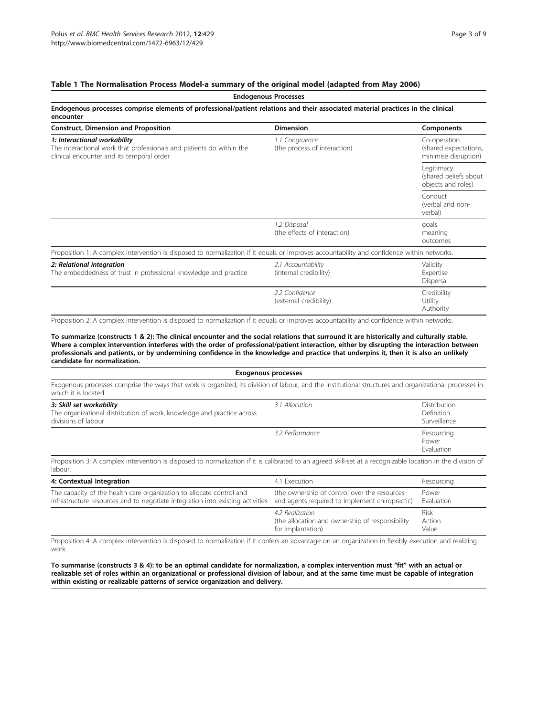## <span id="page-2-0"></span>Table 1 The Normalisation Process Model-a summary of the original model (adapted from May 2006)

| <b>Endogenous Processes</b><br>Endogenous processes comprise elements of professional/patient relations and their associated material practices in the clinical<br>encounter |                                                |                                                               |  |
|------------------------------------------------------------------------------------------------------------------------------------------------------------------------------|------------------------------------------------|---------------------------------------------------------------|--|
|                                                                                                                                                                              |                                                |                                                               |  |
| 1: Interactional workability<br>The interactional work that professionals and patients do within the<br>clinical encounter and its temporal order                            | 1.1 Congruence<br>(the process of interaction) | Co-operation<br>(shared expectations,<br>minimise disruption) |  |
|                                                                                                                                                                              |                                                | Legitimacy<br>(shared beliefs about)<br>objects and roles)    |  |
|                                                                                                                                                                              |                                                | Conduct<br>(verbal and non-<br>verbal)                        |  |
|                                                                                                                                                                              | 1.2 Disposal<br>(the effects of interaction)   | goals<br>meaning<br>outcomes                                  |  |
| Proposition 1: A complex intervention is disposed to normalization if it equals or improves accountability and confidence within networks.                                   |                                                |                                                               |  |
| 2: Relational integration<br>The embeddedness of trust in professional knowledge and practice                                                                                | 2.1 Accountability<br>(internal credibility)   | Validity<br>Expertise<br>Dispersal                            |  |
|                                                                                                                                                                              | 2.2 Confidence<br>(external credibility)       | Credibility<br>Utility<br>Authority                           |  |

Proposition 2: A complex intervention is disposed to normalization if it equals or improves accountability and confidence within networks.

To summarize (constructs 1 & 2): The clinical encounter and the social relations that surround it are historically and culturally stable. Where a complex intervention interferes with the order of professional/patient interaction, either by disrupting the interaction between professionals and patients, or by undermining confidence in the knowledge and practice that underpins it, then it is also an unlikely candidate for normalization.

| <b>Exogenous processes</b>                                                                                                                                                    |                 |                                                   |  |  |
|-------------------------------------------------------------------------------------------------------------------------------------------------------------------------------|-----------------|---------------------------------------------------|--|--|
| Exogenous processes comprise the ways that work is organized, its division of labour, and the institutional structures and organizational processes in<br>which it is located |                 |                                                   |  |  |
| 3: Skill set workability<br>The organizational distribution of work, knowledge and practice across<br>divisions of labour                                                     | 3.1 Allocation  | <b>Distribution</b><br>Definition<br>Surveillance |  |  |
|                                                                                                                                                                               | 3.2 Performance | Resourcing<br>Power<br>Evaluation                 |  |  |

Proposition 3: A complex intervention is disposed to normalization if it is calibrated to an agreed skill-set at a recognizable location in the division of labour.

| 4: Contextual Integration                                                                                                                              | 4.1 Execution                                                                                  | Resourcing              |
|--------------------------------------------------------------------------------------------------------------------------------------------------------|------------------------------------------------------------------------------------------------|-------------------------|
| The capacity of the health care organization to allocate control and<br>infrastructure resources and to negotiate integration into existing activities | (the ownership of control over the resources<br>and agents required to implement chiropractic) | Power<br>Evaluation     |
|                                                                                                                                                        | 4.2 Realization<br>(the allocation and ownership of responsibility<br>for implantation)        | Risk<br>Action<br>Value |

Proposition 4: A complex intervention is disposed to normalization if it confers an advantage on an organization in flexibly execution and realizing work.

To summarise (constructs 3 & 4): to be an optimal candidate for normalization, a complex intervention must "fit" with an actual or realizable set of roles within an organizational or professional division of labour, and at the same time must be capable of integration within existing or realizable patterns of service organization and delivery.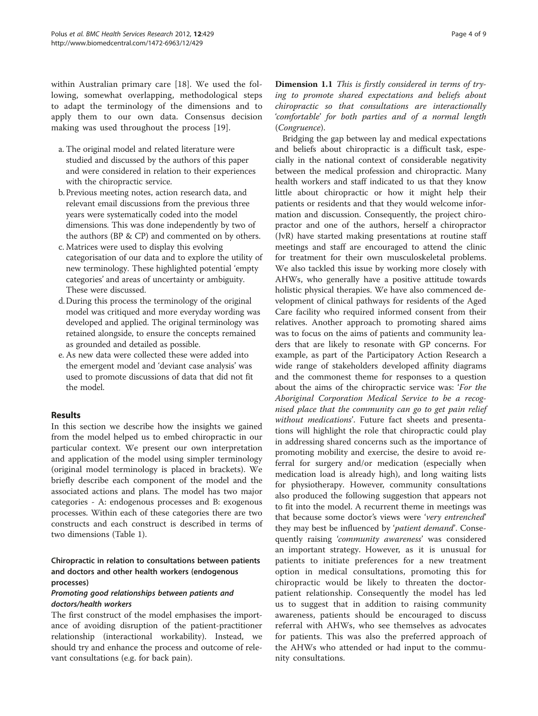within Australian primary care [[18\]](#page-8-0). We used the following, somewhat overlapping, methodological steps to adapt the terminology of the dimensions and to apply them to our own data. Consensus decision making was used throughout the process [[19\]](#page-8-0).

- a. The original model and related literature were studied and discussed by the authors of this paper and were considered in relation to their experiences with the chiropractic service.
- b. Previous meeting notes, action research data, and relevant email discussions from the previous three years were systematically coded into the model dimensions. This was done independently by two of the authors (BP & CP) and commented on by others.
- c. Matrices were used to display this evolving categorisation of our data and to explore the utility of new terminology. These highlighted potential 'empty categories' and areas of uncertainty or ambiguity. These were discussed.
- d. During this process the terminology of the original model was critiqued and more everyday wording was developed and applied. The original terminology was retained alongside, to ensure the concepts remained as grounded and detailed as possible.
- e. As new data were collected these were added into the emergent model and 'deviant case analysis' was used to promote discussions of data that did not fit the model.

### Results

In this section we describe how the insights we gained from the model helped us to embed chiropractic in our particular context. We present our own interpretation and application of the model using simpler terminology (original model terminology is placed in brackets). We briefly describe each component of the model and the associated actions and plans. The model has two major categories - A: endogenous processes and B: exogenous processes. Within each of these categories there are two constructs and each construct is described in terms of two dimensions (Table [1](#page-2-0)).

Chiropractic in relation to consultations between patients and doctors and other health workers (endogenous processes)

### Promoting good relationships between patients and doctors/health workers

The first construct of the model emphasises the importance of avoiding disruption of the patient-practitioner relationship (interactional workability). Instead, we should try and enhance the process and outcome of relevant consultations (e.g. for back pain).

Dimension 1.1 This is firstly considered in terms of trying to promote shared expectations and beliefs about chiropractic so that consultations are interactionally 'comfortable' for both parties and of a normal length (Congruence).

Bridging the gap between lay and medical expectations and beliefs about chiropractic is a difficult task, especially in the national context of considerable negativity between the medical profession and chiropractic. Many health workers and staff indicated to us that they know little about chiropractic or how it might help their patients or residents and that they would welcome information and discussion. Consequently, the project chiropractor and one of the authors, herself a chiropractor (JvR) have started making presentations at routine staff meetings and staff are encouraged to attend the clinic for treatment for their own musculoskeletal problems. We also tackled this issue by working more closely with AHWs, who generally have a positive attitude towards holistic physical therapies. We have also commenced development of clinical pathways for residents of the Aged Care facility who required informed consent from their relatives. Another approach to promoting shared aims was to focus on the aims of patients and community leaders that are likely to resonate with GP concerns. For example, as part of the Participatory Action Research a wide range of stakeholders developed affinity diagrams and the commonest theme for responses to a question about the aims of the chiropractic service was: 'For the Aboriginal Corporation Medical Service to be a recognised place that the community can go to get pain relief without medications'. Future fact sheets and presentations will highlight the role that chiropractic could play in addressing shared concerns such as the importance of promoting mobility and exercise, the desire to avoid referral for surgery and/or medication (especially when medication load is already high), and long waiting lists for physiotherapy. However, community consultations also produced the following suggestion that appears not to fit into the model. A recurrent theme in meetings was that because some doctor's views were 'very entrenched' they may best be influenced by 'patient demand'. Consequently raising 'community awareness' was considered an important strategy. However, as it is unusual for patients to initiate preferences for a new treatment option in medical consultations, promoting this for chiropractic would be likely to threaten the doctorpatient relationship. Consequently the model has led us to suggest that in addition to raising community awareness, patients should be encouraged to discuss referral with AHWs, who see themselves as advocates for patients. This was also the preferred approach of the AHWs who attended or had input to the community consultations.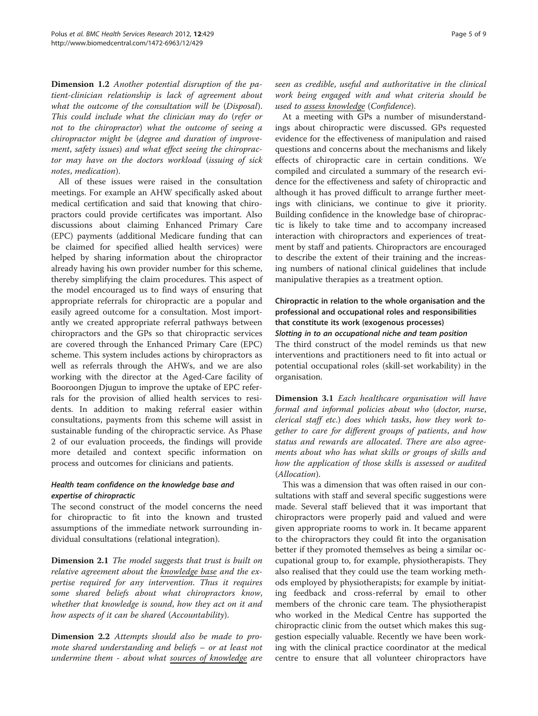Dimension 1.2 Another potential disruption of the patient-clinician relationship is lack of agreement about what the outcome of the consultation will be (Disposal). This could include what the clinician may do (refer or not to the chiropractor) what the outcome of seeing a chiropractor might be (degree and duration of improvement, safety issues) and what effect seeing the chiropractor may have on the doctors workload (issuing of sick notes, medication).

All of these issues were raised in the consultation meetings. For example an AHW specifically asked about medical certification and said that knowing that chiropractors could provide certificates was important. Also discussions about claiming Enhanced Primary Care (EPC) payments (additional Medicare funding that can be claimed for specified allied health services) were helped by sharing information about the chiropractor already having his own provider number for this scheme, thereby simplifying the claim procedures. This aspect of the model encouraged us to find ways of ensuring that appropriate referrals for chiropractic are a popular and easily agreed outcome for a consultation. Most importantly we created appropriate referral pathways between chiropractors and the GPs so that chiropractic services are covered through the Enhanced Primary Care (EPC) scheme. This system includes actions by chiropractors as well as referrals through the AHWs, and we are also working with the director at the Aged-Care facility of Booroongen Djugun to improve the uptake of EPC referrals for the provision of allied health services to residents. In addition to making referral easier within consultations, payments from this scheme will assist in sustainable funding of the chiropractic service. As Phase 2 of our evaluation proceeds, the findings will provide more detailed and context specific information on process and outcomes for clinicians and patients.

## Health team confidence on the knowledge base and expertise of chiropractic

The second construct of the model concerns the need for chiropractic to fit into the known and trusted assumptions of the immediate network surrounding individual consultations (relational integration).

**Dimension 2.1** The model suggests that trust is built on relative agreement about the knowledge base and the expertise required for any intervention. Thus it requires some shared beliefs about what chiropractors know, whether that knowledge is sound, how they act on it and how aspects of it can be shared (Accountability).

Dimension 2.2 Attempts should also be made to promote shared understanding and beliefs – or at least not undermine them - about what sources of knowledge are seen as credible, useful and authoritative in the clinical work being engaged with and what criteria should be used to assess knowledge (Confidence).

At a meeting with GPs a number of misunderstandings about chiropractic were discussed. GPs requested evidence for the effectiveness of manipulation and raised questions and concerns about the mechanisms and likely effects of chiropractic care in certain conditions. We compiled and circulated a summary of the research evidence for the effectiveness and safety of chiropractic and although it has proved difficult to arrange further meetings with clinicians, we continue to give it priority. Building confidence in the knowledge base of chiropractic is likely to take time and to accompany increased interaction with chiropractors and experiences of treatment by staff and patients. Chiropractors are encouraged to describe the extent of their training and the increasing numbers of national clinical guidelines that include manipulative therapies as a treatment option.

## Chiropractic in relation to the whole organisation and the professional and occupational roles and responsibilities that constitute its work (exogenous processes) Slotting in to an occupational niche and team position

The third construct of the model reminds us that new interventions and practitioners need to fit into actual or potential occupational roles (skill-set workability) in the organisation.

Dimension 3.1 Each healthcare organisation will have formal and informal policies about who (doctor, nurse, clerical staff etc.) does which tasks, how they work together to care for different groups of patients, and how status and rewards are allocated. There are also agreements about who has what skills or groups of skills and how the application of those skills is assessed or audited (Allocation).

This was a dimension that was often raised in our consultations with staff and several specific suggestions were made. Several staff believed that it was important that chiropractors were properly paid and valued and were given appropriate rooms to work in. It became apparent to the chiropractors they could fit into the organisation better if they promoted themselves as being a similar occupational group to, for example, physiotherapists. They also realised that they could use the team working methods employed by physiotherapists; for example by initiating feedback and cross-referral by email to other members of the chronic care team. The physiotherapist who worked in the Medical Centre has supported the chiropractic clinic from the outset which makes this suggestion especially valuable. Recently we have been working with the clinical practice coordinator at the medical centre to ensure that all volunteer chiropractors have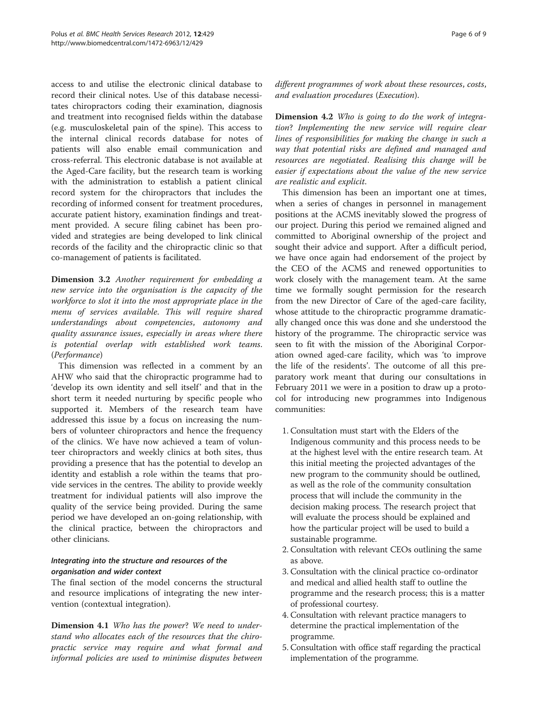access to and utilise the electronic clinical database to record their clinical notes. Use of this database necessitates chiropractors coding their examination, diagnosis and treatment into recognised fields within the database (e.g. musculoskeletal pain of the spine). This access to the internal clinical records database for notes of patients will also enable email communication and cross-referral. This electronic database is not available at the Aged-Care facility, but the research team is working with the administration to establish a patient clinical record system for the chiropractors that includes the recording of informed consent for treatment procedures, accurate patient history, examination findings and treatment provided. A secure filing cabinet has been provided and strategies are being developed to link clinical records of the facility and the chiropractic clinic so that co-management of patients is facilitated.

Dimension 3.2 Another requirement for embedding a new service into the organisation is the capacity of the workforce to slot it into the most appropriate place in the menu of services available. This will require shared understandings about competencies, autonomy and quality assurance issues, especially in areas where there is potential overlap with established work teams. (Performance)

This dimension was reflected in a comment by an AHW who said that the chiropractic programme had to 'develop its own identity and sell itself' and that in the short term it needed nurturing by specific people who supported it. Members of the research team have addressed this issue by a focus on increasing the numbers of volunteer chiropractors and hence the frequency of the clinics. We have now achieved a team of volunteer chiropractors and weekly clinics at both sites, thus providing a presence that has the potential to develop an identity and establish a role within the teams that provide services in the centres. The ability to provide weekly treatment for individual patients will also improve the quality of the service being provided. During the same period we have developed an on-going relationship, with the clinical practice, between the chiropractors and other clinicians.

## Integrating into the structure and resources of the organisation and wider context

The final section of the model concerns the structural and resource implications of integrating the new intervention (contextual integration).

Dimension 4.1 Who has the power? We need to understand who allocates each of the resources that the chiropractic service may require and what formal and informal policies are used to minimise disputes between different programmes of work about these resources, costs, and evaluation procedures (Execution).

Dimension 4.2 Who is going to do the work of integration? Implementing the new service will require clear lines of responsibilities for making the change in such a way that potential risks are defined and managed and resources are negotiated. Realising this change will be easier if expectations about the value of the new service are realistic and explicit.

This dimension has been an important one at times, when a series of changes in personnel in management positions at the ACMS inevitably slowed the progress of our project. During this period we remained aligned and committed to Aboriginal ownership of the project and sought their advice and support. After a difficult period, we have once again had endorsement of the project by the CEO of the ACMS and renewed opportunities to work closely with the management team. At the same time we formally sought permission for the research from the new Director of Care of the aged-care facility, whose attitude to the chiropractic programme dramatically changed once this was done and she understood the history of the programme. The chiropractic service was seen to fit with the mission of the Aboriginal Corporation owned aged-care facility, which was 'to improve the life of the residents'. The outcome of all this preparatory work meant that during our consultations in February 2011 we were in a position to draw up a protocol for introducing new programmes into Indigenous communities:

- 1. Consultation must start with the Elders of the Indigenous community and this process needs to be at the highest level with the entire research team. At this initial meeting the projected advantages of the new program to the community should be outlined, as well as the role of the community consultation process that will include the community in the decision making process. The research project that will evaluate the process should be explained and how the particular project will be used to build a sustainable programme.
- 2. Consultation with relevant CEOs outlining the same as above.
- 3. Consultation with the clinical practice co-ordinator and medical and allied health staff to outline the programme and the research process; this is a matter of professional courtesy.
- 4. Consultation with relevant practice managers to determine the practical implementation of the programme.
- 5. Consultation with office staff regarding the practical implementation of the programme.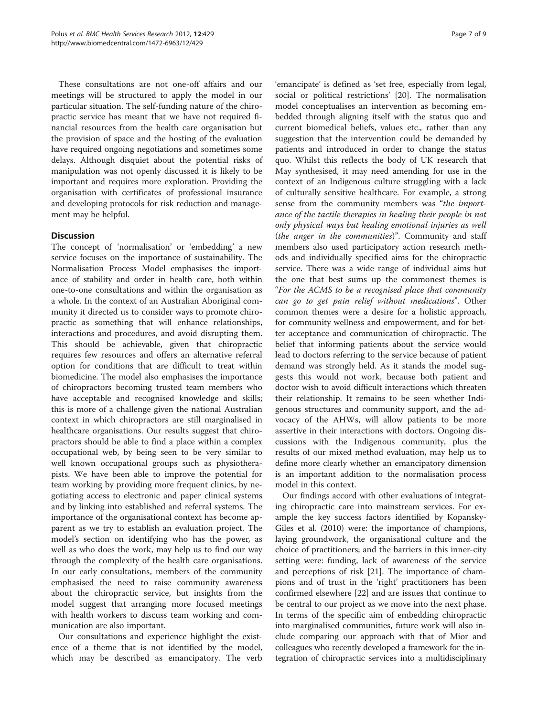These consultations are not one-off affairs and our meetings will be structured to apply the model in our particular situation. The self-funding nature of the chiropractic service has meant that we have not required financial resources from the health care organisation but the provision of space and the hosting of the evaluation have required ongoing negotiations and sometimes some delays. Although disquiet about the potential risks of manipulation was not openly discussed it is likely to be important and requires more exploration. Providing the organisation with certificates of professional insurance and developing protocols for risk reduction and management may be helpful.

### **Discussion**

The concept of 'normalisation' or 'embedding' a new service focuses on the importance of sustainability. The Normalisation Process Model emphasises the importance of stability and order in health care, both within one-to-one consultations and within the organisation as a whole. In the context of an Australian Aboriginal community it directed us to consider ways to promote chiropractic as something that will enhance relationships, interactions and procedures, and avoid disrupting them. This should be achievable, given that chiropractic requires few resources and offers an alternative referral option for conditions that are difficult to treat within biomedicine. The model also emphasises the importance of chiropractors becoming trusted team members who have acceptable and recognised knowledge and skills; this is more of a challenge given the national Australian context in which chiropractors are still marginalised in healthcare organisations. Our results suggest that chiropractors should be able to find a place within a complex occupational web, by being seen to be very similar to well known occupational groups such as physiotherapists. We have been able to improve the potential for team working by providing more frequent clinics, by negotiating access to electronic and paper clinical systems and by linking into established and referral systems. The importance of the organisational context has become apparent as we try to establish an evaluation project. The model's section on identifying who has the power, as well as who does the work, may help us to find our way through the complexity of the health care organisations. In our early consultations, members of the community emphasised the need to raise community awareness about the chiropractic service, but insights from the model suggest that arranging more focused meetings with health workers to discuss team working and communication are also important.

Our consultations and experience highlight the existence of a theme that is not identified by the model, which may be described as emancipatory. The verb

'emancipate' is defined as 'set free, especially from legal, social or political restrictions' [[20](#page-8-0)]. The normalisation model conceptualises an intervention as becoming embedded through aligning itself with the status quo and current biomedical beliefs, values etc., rather than any suggestion that the intervention could be demanded by patients and introduced in order to change the status quo. Whilst this reflects the body of UK research that May synthesised, it may need amending for use in the context of an Indigenous culture struggling with a lack of culturally sensitive healthcare. For example, a strong sense from the community members was "the importance of the tactile therapies in healing their people in not only physical ways but healing emotional injuries as well (the anger in the communities)". Community and staff members also used participatory action research methods and individually specified aims for the chiropractic service. There was a wide range of individual aims but the one that best sums up the commonest themes is "For the ACMS to be a recognised place that community can go to get pain relief without medications". Other common themes were a desire for a holistic approach, for community wellness and empowerment, and for better acceptance and communication of chiropractic. The belief that informing patients about the service would lead to doctors referring to the service because of patient demand was strongly held. As it stands the model suggests this would not work, because both patient and doctor wish to avoid difficult interactions which threaten their relationship. It remains to be seen whether Indigenous structures and community support, and the advocacy of the AHWs, will allow patients to be more assertive in their interactions with doctors. Ongoing discussions with the Indigenous community, plus the results of our mixed method evaluation, may help us to define more clearly whether an emancipatory dimension is an important addition to the normalisation process model in this context.

Our findings accord with other evaluations of integrating chiropractic care into mainstream services. For example the key success factors identified by Kopansky-Giles et al. (2010) were: the importance of champions, laying groundwork, the organisational culture and the choice of practitioners; and the barriers in this inner-city setting were: funding, lack of awareness of the service and perceptions of risk [\[21\]](#page-8-0). The importance of champions and of trust in the 'right' practitioners has been confirmed elsewhere [[22\]](#page-8-0) and are issues that continue to be central to our project as we move into the next phase. In terms of the specific aim of embedding chiropractic into marginalised communities, future work will also include comparing our approach with that of Mior and colleagues who recently developed a framework for the integration of chiropractic services into a multidisciplinary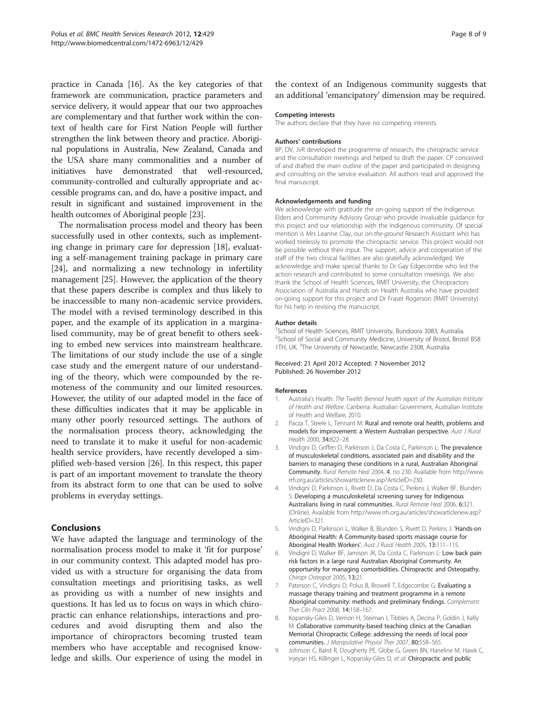<span id="page-7-0"></span>practice in Canada [[16](#page-8-0)]. As the key categories of that framework are communication, practice parameters and service delivery, it would appear that our two approaches are complementary and that further work within the context of health care for First Nation People will further strengthen the link between theory and practice. Aboriginal populations in Australia, New Zealand, Canada and the USA share many commonalities and a number of initiatives have demonstrated that well-resourced, community-controlled and culturally appropriate and accessible programs can, and do, have a positive impact, and result in significant and sustained improvement in the health outcomes of Aboriginal people [[23](#page-8-0)].

The normalisation process model and theory has been successfully used in other contexts, such as implementing change in primary care for depression [\[18](#page-8-0)], evaluating a self-management training package in primary care [[24\]](#page-8-0), and normalizing a new technology in infertility management [\[25](#page-8-0)]. However, the application of the theory that these papers describe is complex and thus likely to be inaccessible to many non-academic service providers. The model with a revised terminology described in this paper, and the example of its application in a marginalised community, may be of great benefit to others seeking to embed new services into mainstream healthcare. The limitations of our study include the use of a single case study and the emergent nature of our understanding of the theory, which were compounded by the remoteness of the community and our limited resources. However, the utility of our adapted model in the face of these difficulties indicates that it may be applicable in many other poorly resourced settings. The authors of the normalisation process theory, acknowledging the need to translate it to make it useful for non-academic health service providers, have recently developed a simplified web-based version [\[26\]](#page-8-0). In this respect, this paper is part of an important movement to translate the theory from its abstract form to one that can be used to solve problems in everyday settings.

### **Conclusions**

We have adapted the language and terminology of the normalisation process model to make it 'fit for purpose' in our community context. This adapted model has provided us with a structure for organising the data from consultation meetings and prioritising tasks, as well as providing us with a number of new insights and questions. It has led us to focus on ways in which chiropractic can enhance relationships, interactions and procedures and avoid disrupting them and also the importance of chiropractors becoming trusted team members who have acceptable and recognised knowledge and skills. Our experience of using the model in the context of an Indigenous community suggests that an additional 'emancipatory' dimension may be required.

#### Competing interests

The authors declare that they have no competing interests.

#### Authors' contributions

BP, DV, JvR developed the programme of research, the chiropractic service and the consultation meetings and helped to draft the paper. CP conceived of and drafted the main outline of the paper and participated in designing and consulting on the service evaluation. All authors read and approved the final manuscript.

#### Acknowledgements and funding

We acknowledge with gratitude the on-going support of the Indigenous Elders and Community Advisory Group who provide invaluable guidance for this project and our relationship with the Indigenous community. Of special mention is Mrs Leanne Clay, our on-the-ground Research Assistant who has worked tirelessly to promote the chiropractic service. This project would not be possible without their input. The support, advice and cooperation of the staff of the two clinical facilities are also gratefully acknowledged. We acknowledge and make special thanks to Dr Gay Edgecombe who led the action research and contributed to some consultation meetings. We also thank the School of Health Sciences, RMIT University, the Chiropractors Association of Australia and Hands on Health Australia who have provided on-going support for this project and Dr Fraser Rogerson (RMIT University) for his help in revising the manuscript.

#### Author details

<sup>1</sup>School of Health Sciences, RMIT University, Bundoora 3083, Australia. <sup>2</sup>School of Social and Community Medicine, University of Bristol, Bristol BS8 1TH, UK. <sup>3</sup>The University of Newcastle, Newcastle 2308, Australia

#### Received: 21 April 2012 Accepted: 7 November 2012 Published: 26 November 2012

#### References

- 1. Australia's Health: The Twelth Biennial health report of the Australian Institute of Health and Welfare. Canberra: Australian Government, Australian Institute of Health and Welfare; 2010.
- 2. Pacza T, Steele L, Tennant M: Rural and remote oral health, problems and models for improvement: a Western Australian perspective. Aust J Rural Health 2000, 34:822–28.
- 3. Vindigni D, Griffen D, Parkinson J, Da Costa C, Parkinson L: The prevalence of musculoskeletal conditions, associated pain and disability and the barriers to managing these conditions in a rural, Australian Aboriginal Community. Rural Remote Heal 2004, 4. no 230. Available from [http://www.](http://www.rrh.org.au/articles/showarticlenew.asp?ArticleID=321) [rrh.org.au/articles/showarticlenew.asp?ArticleID=230](http://www.rrh.org.au/articles/showarticlenew.asp?ArticleID=321).
- 4. Vindigni D, Parkinson L, Rivett D, Da Costa C, Perkins J, Walker BF, Blunden S: Developing a musculoskeletal screening survey for Indigenous Australians living in rural communities. Rural Remote Heal 2006, 6:321. (Online). Available from [http://www.rrh.org.au/articles/showarticlenew.asp?](http://www.rrh.org.au/articles/showarticlenew.asp?ArticleID=321) [ArticleID=321](http://www.rrh.org.au/articles/showarticlenew.asp?ArticleID=321).
- Vindigni D, Parkinson L, Walker B, Blunden S, Rivett D, Perkins J: 'Hands-on Aboriginal Health: A Community-based sports massage course for Aboriginal Health Workers'. Aust J Rural Health 2005, 13:111–115.
- 6. Vindigni D, Walker BF, Jamison JR, Da Costa C, Parkinson L: Low back pain risk factors in a large rural Australian Aboriginal Community. An opportunity for managing comorbidities. Chiropractic and Osteopathy. Chiropr Osteopat 2005, 13:21.
- 7. Paterson C, Vindigni D, Polus B, Browell T, Edgecombe G: Evaluating a massage therapy training and treatment programme in a remote Aboriginal community: methods and preliminary findings. Complement Ther Clin Pract 2008, 14:158–167.
- 8. Kopansky-Giles D, Vernon H, Steiman I, Tibbles A, Decina P, Goldin J, Kelly M: Collaborative community-based teaching clinics at the Canadian Memorial Chiropractic College: addressing the needs of local poor communities. J Manipulative Physiol Ther 2007, 80:558–565.
- 9. Johnson C, Baird R, Dougherty PE, Globe G, Green BN, Haneline M, Hawk C, Injeyan HS, Killinger L, Kopansky-Giles D, et al: Chiropractic and public